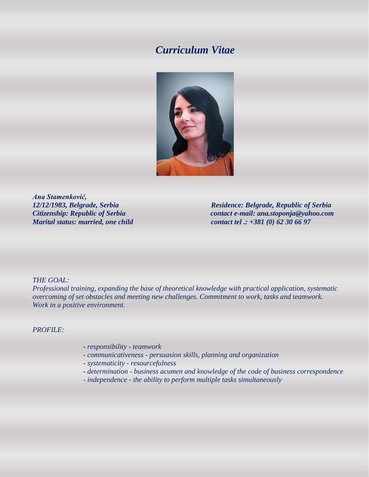# *Curriculum Vitae*



*Ana Stamenković,*

*12/12/1983, Belgrade, Serbia Residence: Belgrade, Republic of Serbia Citizenship: Republic of Serbia contact e-mail: ana.stoponja@yahoo.com Marital status: married, one child contact tel .: +381 (0) 62 30 66 97* 

# *THE GOAL:*

*Professional training, expanding the base of theoretical knowledge with practical application, systematic overcoming of set obstacles and meeting new challenges. Commitment to work, tasks and teamwork. Work in a positive environment.*

# *PROFILE:*

- *- responsibility - teamwork*
- *- communicativeness - persuasion skills, planning and organization*
- *- systematicity - resourcefulness*
- *- determination - business acumen and knowledge of the code of business correspondence*
- *- independence - the ability to perform multiple tasks simultaneously*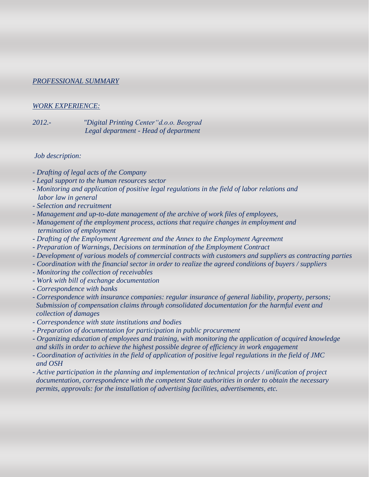# *PROFESSIONAL SUMMARY*

# *WORK EXPERIENCE:*

*2012.- "Digital Printing Center"d.o.o. Beograd Legal department - Head of department*

# *Job description:*

- *- Drafting of legal acts of the Company*
- *- Legal support to the human resources sector*
- *- Monitoring and application of positive legal regulations in the field of labor relations and labor law in general*
- *- Selection and recruitment*
- *- Management and up-to-date management of the archive of work files of employees,*
- *- Management of the employment process, actions that require changes in employment and termination of employment*
- *- Drafting of the Employment Agreement and the Annex to the Employment Agreement*
- *- Preparation of Warnings, Decisions on termination of the Employment Contract*
- *- Development of various models of commercial contracts with customers and suppliers as contracting parties*
- *- Coordination with the financial sector in order to realize the agreed conditions of buyers / suppliers*
- *- Monitoring the collection of receivables*
- *- Work with bill of exchange documentation*
- *- Correspondence with banks*
- *- Correspondence with insurance companies: regular insurance of general liability, property, persons; Submission of compensation claims through consolidated documentation for the harmful event and collection of damages*
- *- Correspondence with state institutions and bodies*
- *- Preparation of documentation for participation in public procurement*
- *- Organizing education of employees and training, with monitoring the application of acquired knowledge and skills in order to achieve the highest possible degree of efficiency in work engagement*
- *- Coordination of activities in the field of application of positive legal regulations in the field of JMC and OSH*
- *- Active participation in the planning and implementation of technical projects / unification of project documentation, correspondence with the competent State authorities in order to obtain the necessary permits, approvals: for the installation of advertising facilities, advertisements, etc.*